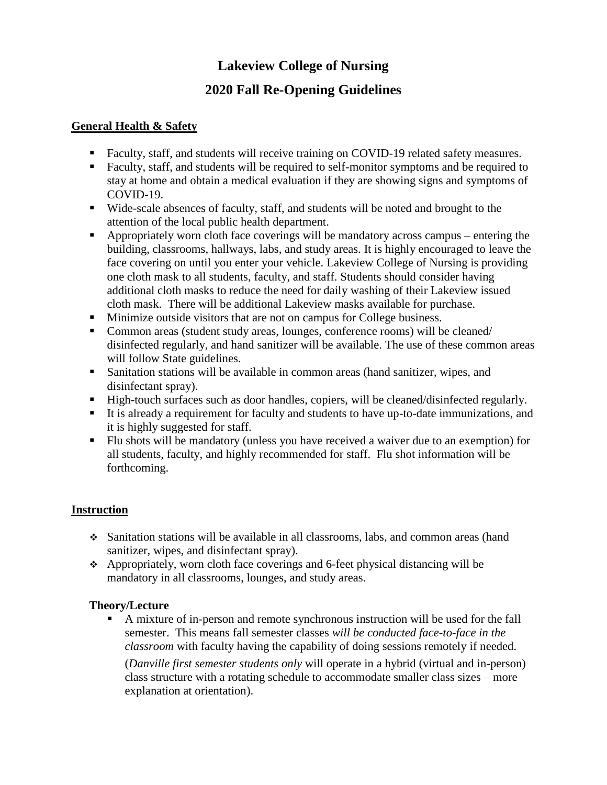# **Lakeview College of Nursing**

## **2020 Fall Re-Opening Guidelines**

#### **General Health & Safety**

- Faculty, staff, and students will receive training on COVID-19 related safety measures.
- Faculty, staff, and students will be required to self-monitor symptoms and be required to stay at home and obtain a medical evaluation if they are showing signs and symptoms of COVID-19.
- Wide-scale absences of faculty, staff, and students will be noted and brought to the attention of the local public health department.
- Appropriately worn cloth face coverings will be mandatory across campus entering the building, classrooms, hallways, labs, and study areas. It is highly encouraged to leave the face covering on until you enter your vehicle. Lakeview College of Nursing is providing one cloth mask to all students, faculty, and staff. Students should consider having additional cloth masks to reduce the need for daily washing of their Lakeview issued cloth mask. There will be additional Lakeview masks available for purchase.
- **Minimize outside visitors that are not on campus for College business.**
- Common areas (student study areas, lounges, conference rooms) will be cleaned/ disinfected regularly, and hand sanitizer will be available. The use of these common areas will follow State guidelines.
- Sanitation stations will be available in common areas (hand sanitizer, wipes, and disinfectant spray).
- High-touch surfaces such as door handles, copiers, will be cleaned/disinfected regularly.
- It is already a requirement for faculty and students to have up-to-date immunizations, and it is highly suggested for staff.
- Flu shots will be mandatory (unless you have received a waiver due to an exemption) for all students, faculty, and highly recommended for staff. Flu shot information will be forthcoming.

## **Instruction**

- Sanitation stations will be available in all classrooms, labs, and common areas (hand sanitizer, wipes, and disinfectant spray).
- Appropriately, worn cloth face coverings and 6-feet physical distancing will be mandatory in all classrooms, lounges, and study areas.

#### **Theory/Lecture**

 A mixture of in-person and remote synchronous instruction will be used for the fall semester. This means fall semester classes *will be conducted face-to-face in the classroom* with faculty having the capability of doing sessions remotely if needed.

(*Danville first semester students only* will operate in a hybrid (virtual and in-person) class structure with a rotating schedule to accommodate smaller class sizes – more explanation at orientation).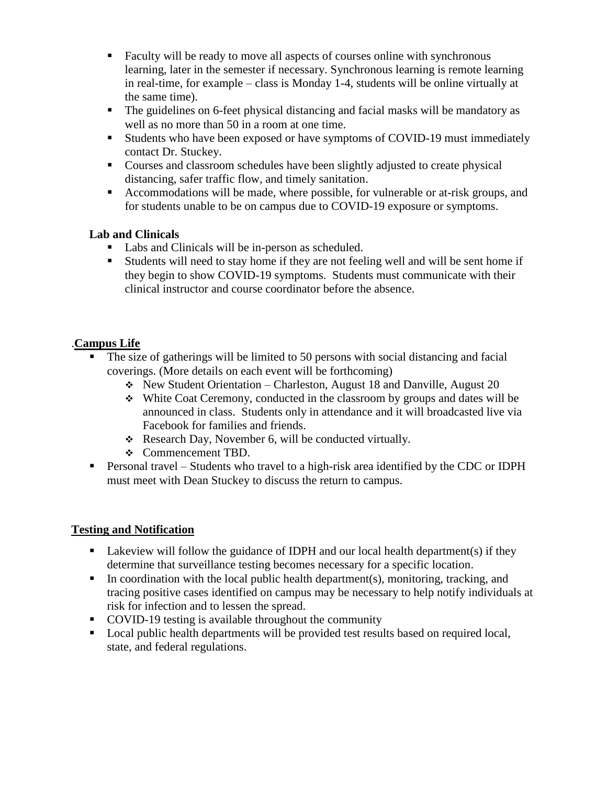- Faculty will be ready to move all aspects of courses online with synchronous learning, later in the semester if necessary. Synchronous learning is remote learning in real-time, for example – class is Monday 1-4, students will be online virtually at the same time).
- The guidelines on 6-feet physical distancing and facial masks will be mandatory as well as no more than 50 in a room at one time.
- Students who have been exposed or have symptoms of COVID-19 must immediately contact Dr. Stuckey.
- Courses and classroom schedules have been slightly adjusted to create physical distancing, safer traffic flow, and timely sanitation.
- Accommodations will be made, where possible, for vulnerable or at-risk groups, and for students unable to be on campus due to COVID-19 exposure or symptoms.

#### **Lab and Clinicals**

- Labs and Clinicals will be in-person as scheduled.
- Students will need to stay home if they are not feeling well and will be sent home if they begin to show COVID-19 symptoms. Students must communicate with their clinical instructor and course coordinator before the absence.

## .**Campus Life**

- The size of gatherings will be limited to 50 persons with social distancing and facial coverings. (More details on each event will be forthcoming)
	- $\div$  New Student Orientation Charleston, August 18 and Danville, August 20
	- White Coat Ceremony, conducted in the classroom by groups and dates will be announced in class. Students only in attendance and it will broadcasted live via Facebook for families and friends.
	- Research Day, November 6, will be conducted virtually.
	- Commencement TBD.
- Personal travel Students who travel to a high-risk area identified by the CDC or IDPH must meet with Dean Stuckey to discuss the return to campus.

## **Testing and Notification**

- Lakeview will follow the guidance of IDPH and our local health department(s) if they determine that surveillance testing becomes necessary for a specific location.
- In coordination with the local public health department(s), monitoring, tracking, and tracing positive cases identified on campus may be necessary to help notify individuals at risk for infection and to lessen the spread.
- COVID-19 testing is available throughout the community
- Local public health departments will be provided test results based on required local, state, and federal regulations.